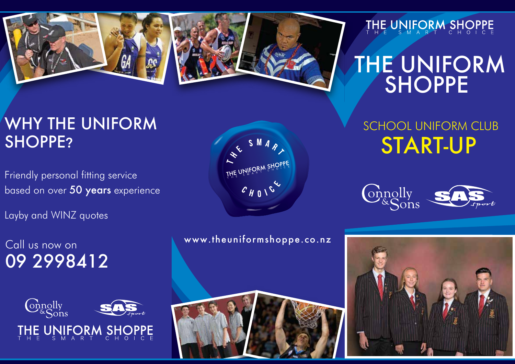



## THE UNIFORM SHOPPE

# THE UNIFORM **SHOPPE**

## WHY THE UNIFORM SHOPPE?

Friendly personal fitting service based on over 50 years experience

Layby and WINZ quotes

Call us now on 09 2998412





www.theuniformshoppe.co.nz



SCHOOL UNIFORM CLUB START-UP